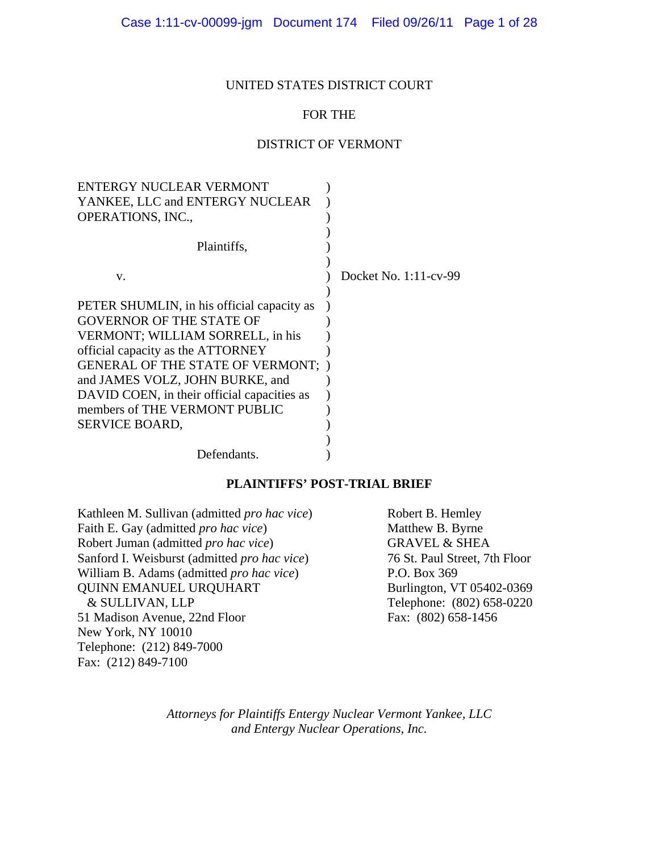### UNITED STATES DISTRICT COURT

## FOR THE

## DISTRICT OF VERMONT

| <b>ENTERGY NUCLEAR VERMONT</b>              |                       |
|---------------------------------------------|-----------------------|
| YANKEE, LLC and ENTERGY NUCLEAR             |                       |
| <b>OPERATIONS, INC.,</b>                    |                       |
|                                             |                       |
| Plaintiffs,                                 |                       |
|                                             |                       |
| V.                                          | Docket No. 1:11-cv-99 |
|                                             |                       |
| PETER SHUMLIN, in his official capacity as  |                       |
| <b>GOVERNOR OF THE STATE OF</b>             |                       |
| VERMONT; WILLIAM SORRELL, in his            |                       |
| official capacity as the ATTORNEY           |                       |
| <b>GENERAL OF THE STATE OF VERMONT; )</b>   |                       |
| and JAMES VOLZ, JOHN BURKE, and             |                       |
| DAVID COEN, in their official capacities as |                       |
| members of THE VERMONT PUBLIC               |                       |
| <b>SERVICE BOARD,</b>                       |                       |
|                                             |                       |
| Defendants.                                 |                       |
|                                             |                       |

### **PLAINTIFFS' POST-TRIAL BRIEF**

Kathleen M. Sullivan (admitted *pro hac vice*) Robert B. Hemley Faith E. Gay (admitted *pro hac vice*) Matthew B. Byrne Robert Juman (admitted *pro hac vice*) GRAVEL & SHEA Sanford I. Weisburst (admitted *pro hac vice*) 76 St. Paul Street, 7th Floor William B. Adams (admitted *pro hac vice*) P.O. Box 369 QUINN EMANUEL URQUHART Burlington, VT 05402-0369 & SULLIVAN, LLP Telephone: (802) 658-0220 51 Madison Avenue, 22nd Floor Fax: (802) 658-1456 New York, NY 10010 Telephone: (212) 849-7000 Fax: (212) 849-7100

*Attorneys for Plaintiffs Entergy Nuclear Vermont Yankee, LLC and Entergy Nuclear Operations, Inc.*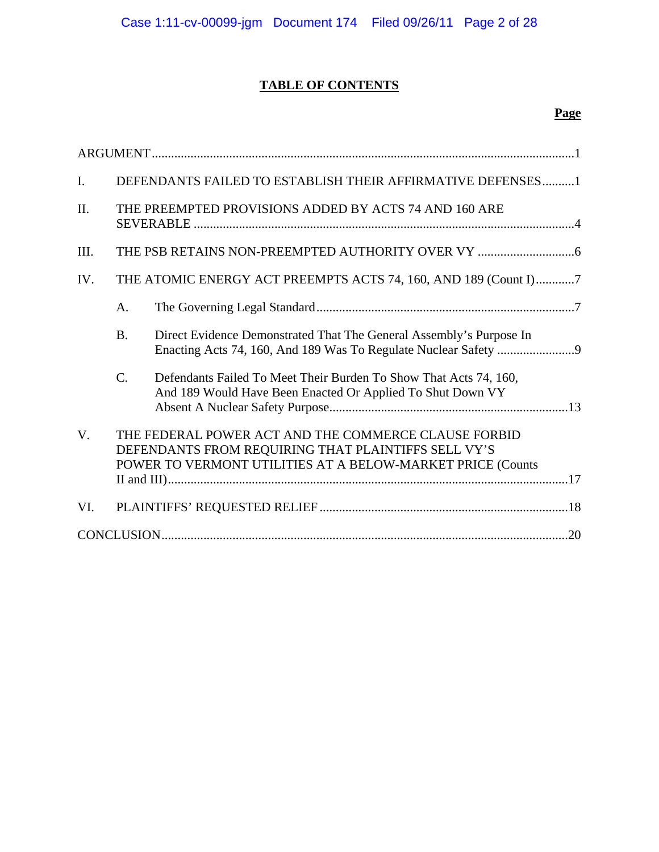# **TABLE OF CONTENTS**

| $\mathbf{I}$ . |                 | DEFENDANTS FAILED TO ESTABLISH THEIR AFFIRMATIVE DEFENSES1                                                                                                                |
|----------------|-----------------|---------------------------------------------------------------------------------------------------------------------------------------------------------------------------|
| II.            |                 | THE PREEMPTED PROVISIONS ADDED BY ACTS 74 AND 160 ARE                                                                                                                     |
| III.           |                 |                                                                                                                                                                           |
| IV.            |                 | THE ATOMIC ENERGY ACT PREEMPTS ACTS 74, 160, AND 189 (Count I)7                                                                                                           |
|                | A.              |                                                                                                                                                                           |
|                | <b>B.</b>       | Direct Evidence Demonstrated That The General Assembly's Purpose In                                                                                                       |
|                | $\mathcal{C}$ . | Defendants Failed To Meet Their Burden To Show That Acts 74, 160,<br>And 189 Would Have Been Enacted Or Applied To Shut Down VY                                           |
| $V_{\cdot}$    |                 | THE FEDERAL POWER ACT AND THE COMMERCE CLAUSE FORBID<br>DEFENDANTS FROM REQUIRING THAT PLAINTIFFS SELL VY'S<br>POWER TO VERMONT UTILITIES AT A BELOW-MARKET PRICE (Counts |
| VI.            |                 |                                                                                                                                                                           |
|                |                 |                                                                                                                                                                           |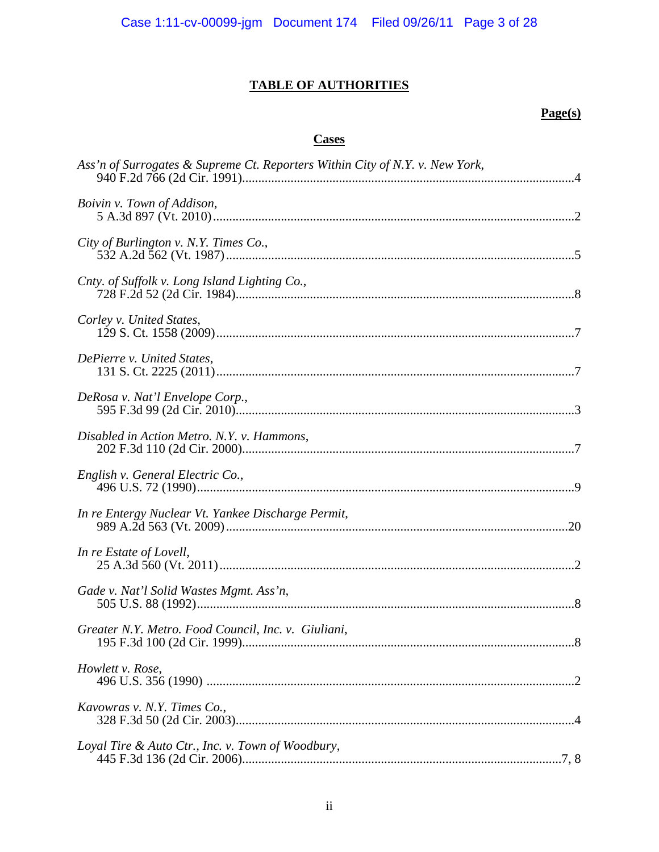## **TABLE OF AUTHORITIES**

## $Page(s)$

## **Cases**

| Ass'n of Surrogates & Supreme Ct. Reporters Within City of N.Y. v. New York, |
|------------------------------------------------------------------------------|
| Boivin v. Town of Addison,                                                   |
| City of Burlington v. N.Y. Times Co.,                                        |
| Cnty. of Suffolk v. Long Island Lighting Co.,                                |
| Corley v. United States,                                                     |
| DePierre v. United States,                                                   |
| DeRosa v. Nat'l Envelope Corp.,                                              |
| Disabled in Action Metro. N.Y. v. Hammons,                                   |
| English v. General Electric Co.,                                             |
| In re Entergy Nuclear Vt. Yankee Discharge Permit,                           |
| In re Estate of Lovell,                                                      |
| Gade v. Nat'l Solid Wastes Mgmt. Ass'n,                                      |
| Greater N.Y. Metro. Food Council, Inc. v. Giuliani,                          |
| Howlett v. Rose,                                                             |
| Kavowras v. N.Y. Times Co.,                                                  |
| Loyal Tire & Auto Ctr., Inc. v. Town of Woodbury,                            |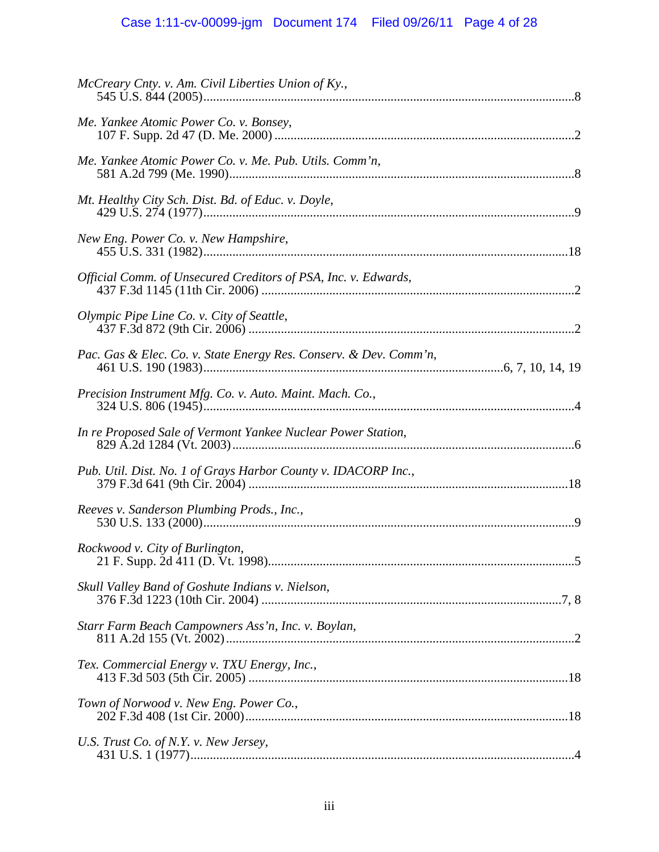| McCreary Cnty. v. Am. Civil Liberties Union of Ky.,               |  |
|-------------------------------------------------------------------|--|
| Me. Yankee Atomic Power Co. v. Bonsey,                            |  |
| Me. Yankee Atomic Power Co. v. Me. Pub. Utils. Comm'n,            |  |
| Mt. Healthy City Sch. Dist. Bd. of Educ. v. Doyle,                |  |
| New Eng. Power Co. v. New Hampshire,                              |  |
| Official Comm. of Unsecured Creditors of PSA, Inc. v. Edwards,    |  |
| Olympic Pipe Line Co. v. City of Seattle,                         |  |
| Pac. Gas & Elec. Co. v. State Energy Res. Conserv. & Dev. Comm'n, |  |
|                                                                   |  |
| In re Proposed Sale of Vermont Yankee Nuclear Power Station,      |  |
| Pub. Util. Dist. No. 1 of Grays Harbor County v. IDACORP Inc.,    |  |
| Reeves v. Sanderson Plumbing Prods., Inc.,                        |  |
| Rockwood v. City of Burlington,                                   |  |
| Skull Valley Band of Goshute Indians v. Nielson,                  |  |
| Starr Farm Beach Campowners Ass'n, Inc. v. Boylan,                |  |
| Tex. Commercial Energy v. TXU Energy, Inc.,                       |  |
| Town of Norwood v. New Eng. Power Co.,                            |  |
| U.S. Trust Co. of N.Y. v. New Jersey,                             |  |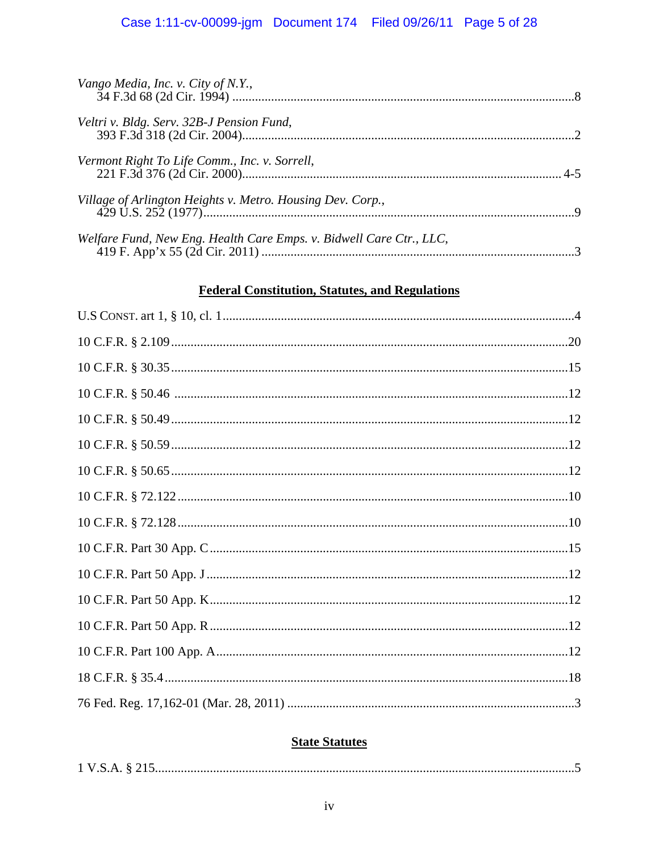## Case 1:11-cv-00099-jgm Document 174 Filed 09/26/11 Page 5 of 28

| Vango Media, Inc. v. City of N.Y.,                                  |  |
|---------------------------------------------------------------------|--|
| Veltri v. Bldg. Serv. 32B-J Pension Fund,                           |  |
| Vermont Right To Life Comm., Inc. v. Sorrell,                       |  |
| Village of Arlington Heights v. Metro. Housing Dev. Corp.,          |  |
| Welfare Fund, New Eng. Health Care Emps. v. Bidwell Care Ctr., LLC, |  |

## **Federal Constitution, Statutes, and Regulations**

## **State Statutes**

|--|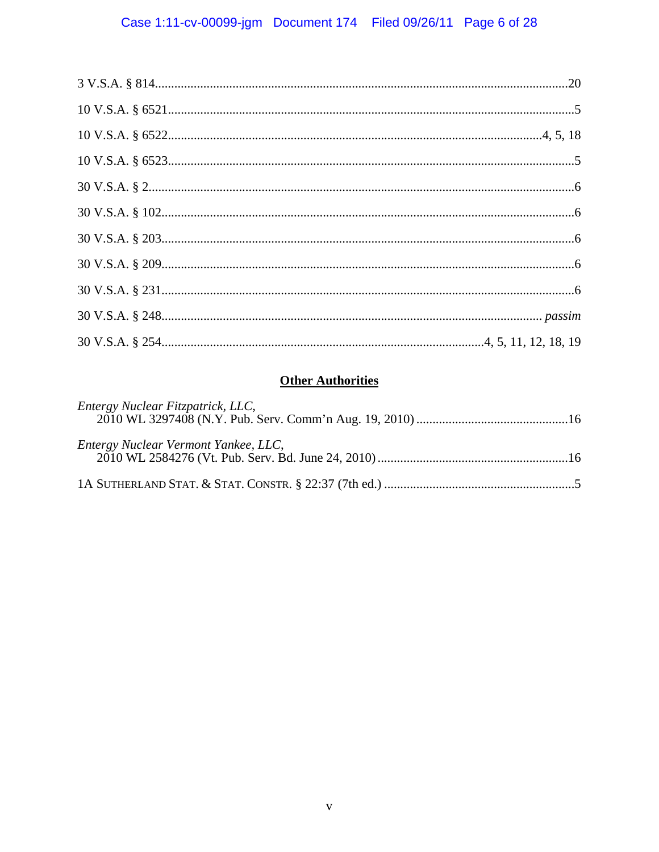# **Other Authorities**

| Entergy Nuclear Fitzpatrick, LLC,    |
|--------------------------------------|
| Entergy Nuclear Vermont Yankee, LLC, |
|                                      |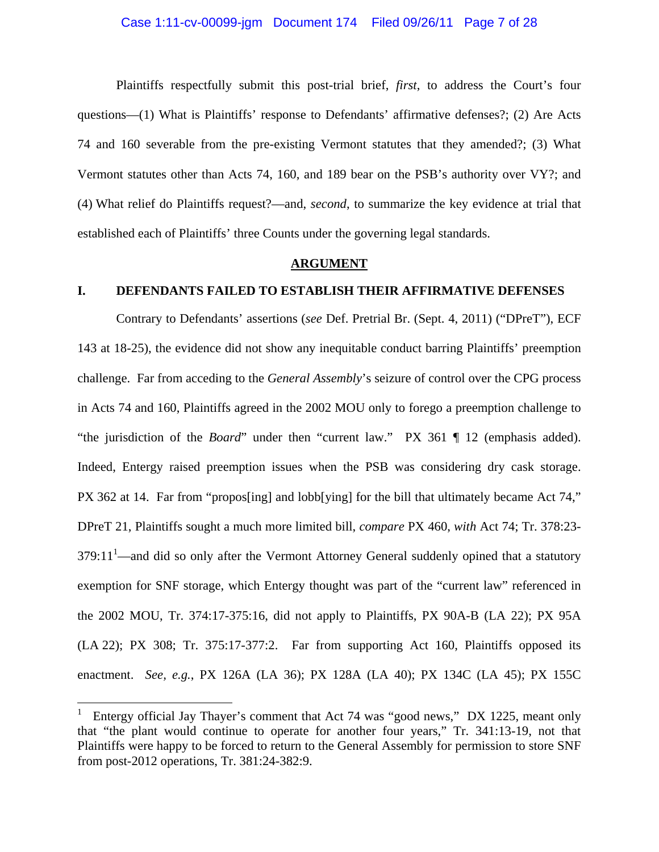### Case 1:11-cv-00099-jgm Document 174 Filed 09/26/11 Page 7 of 28

 Plaintiffs respectfully submit this post-trial brief, *first*, to address the Court's four questions—(1) What is Plaintiffs' response to Defendants' affirmative defenses?; (2) Are Acts 74 and 160 severable from the pre-existing Vermont statutes that they amended?; (3) What Vermont statutes other than Acts 74, 160, and 189 bear on the PSB's authority over VY?; and (4) What relief do Plaintiffs request?—and, *second*, to summarize the key evidence at trial that established each of Plaintiffs' three Counts under the governing legal standards.

#### **ARGUMENT**

### **I. DEFENDANTS FAILED TO ESTABLISH THEIR AFFIRMATIVE DEFENSES**

Contrary to Defendants' assertions (*see* Def. Pretrial Br. (Sept. 4, 2011) ("DPreT"), ECF 143 at 18-25), the evidence did not show any inequitable conduct barring Plaintiffs' preemption challenge. Far from acceding to the *General Assembly*'s seizure of control over the CPG process in Acts 74 and 160, Plaintiffs agreed in the 2002 MOU only to forego a preemption challenge to "the jurisdiction of the *Board*" under then "current law." PX 361 ¶ 12 (emphasis added). Indeed, Entergy raised preemption issues when the PSB was considering dry cask storage. PX 362 at 14. Far from "propos[ing] and lobb[ying] for the bill that ultimately became Act 74," DPreT 21, Plaintiffs sought a much more limited bill, *compare* PX 460, *with* Act 74; Tr. 378:23-  $379:11<sup>1</sup>$ —and did so only after the Vermont Attorney General suddenly opined that a statutory exemption for SNF storage, which Entergy thought was part of the "current law" referenced in the 2002 MOU, Tr. 374:17-375:16, did not apply to Plaintiffs, PX 90A-B (LA 22); PX 95A (LA 22); PX 308; Tr. 375:17-377:2. Far from supporting Act 160, Plaintiffs opposed its enactment. *See, e.g.*, PX 126A (LA 36); PX 128A (LA 40); PX 134C (LA 45); PX 155C

1

<sup>1</sup> Entergy official Jay Thayer's comment that Act 74 was "good news," DX 1225, meant only that "the plant would continue to operate for another four years," Tr. 341:13-19, not that Plaintiffs were happy to be forced to return to the General Assembly for permission to store SNF from post-2012 operations, Tr. 381:24-382:9.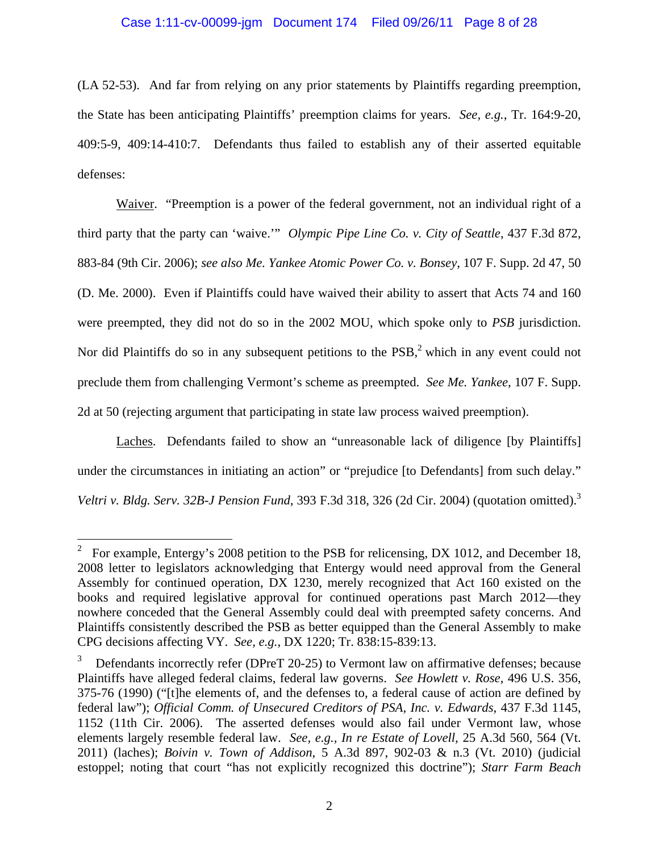## Case 1:11-cv-00099-jgm Document 174 Filed 09/26/11 Page 8 of 28

(LA 52-53). And far from relying on any prior statements by Plaintiffs regarding preemption, the State has been anticipating Plaintiffs' preemption claims for years. *See, e.g.*, Tr. 164:9-20, 409:5-9, 409:14-410:7. Defendants thus failed to establish any of their asserted equitable defenses:

Waiver. "Preemption is a power of the federal government, not an individual right of a third party that the party can 'waive.'" *Olympic Pipe Line Co. v. City of Seattle*, 437 F.3d 872, 883-84 (9th Cir. 2006); *see also Me. Yankee Atomic Power Co. v. Bonsey*, 107 F. Supp. 2d 47, 50 (D. Me. 2000). Even if Plaintiffs could have waived their ability to assert that Acts 74 and 160 were preempted, they did not do so in the 2002 MOU, which spoke only to *PSB* jurisdiction. Nor did Plaintiffs do so in any subsequent petitions to the  $PSB$ , which in any event could not preclude them from challenging Vermont's scheme as preempted. *See Me. Yankee*, 107 F. Supp. 2d at 50 (rejecting argument that participating in state law process waived preemption).

Laches. Defendants failed to show an "unreasonable lack of diligence [by Plaintiffs] under the circumstances in initiating an action" or "prejudice [to Defendants] from such delay." *Veltri v. Bldg. Serv. 32B-J Pension Fund*, 393 F.3d 318, 326 (2d Cir. 2004) (quotation omitted).<sup>3</sup>

1

<sup>2</sup> For example, Entergy's 2008 petition to the PSB for relicensing, DX 1012, and December 18, 2008 letter to legislators acknowledging that Entergy would need approval from the General Assembly for continued operation, DX 1230, merely recognized that Act 160 existed on the books and required legislative approval for continued operations past March 2012—they nowhere conceded that the General Assembly could deal with preempted safety concerns. And Plaintiffs consistently described the PSB as better equipped than the General Assembly to make CPG decisions affecting VY. *See, e.g.*, DX 1220; Tr. 838:15-839:13.

<sup>3</sup> Defendants incorrectly refer (DPreT 20-25) to Vermont law on affirmative defenses; because Plaintiffs have alleged federal claims, federal law governs. *See Howlett v. Rose*, 496 U.S. 356, 375-76 (1990) ("[t]he elements of, and the defenses to, a federal cause of action are defined by federal law"); *Official Comm. of Unsecured Creditors of PSA, Inc. v. Edwards*, 437 F.3d 1145, 1152 (11th Cir. 2006). The asserted defenses would also fail under Vermont law, whose elements largely resemble federal law. *See, e.g., In re Estate of Lovell*, 25 A.3d 560, 564 (Vt. 2011) (laches); *Boivin v. Town of Addison*, 5 A.3d 897, 902-03 & n.3 (Vt. 2010) (judicial estoppel; noting that court "has not explicitly recognized this doctrine"); *Starr Farm Beach*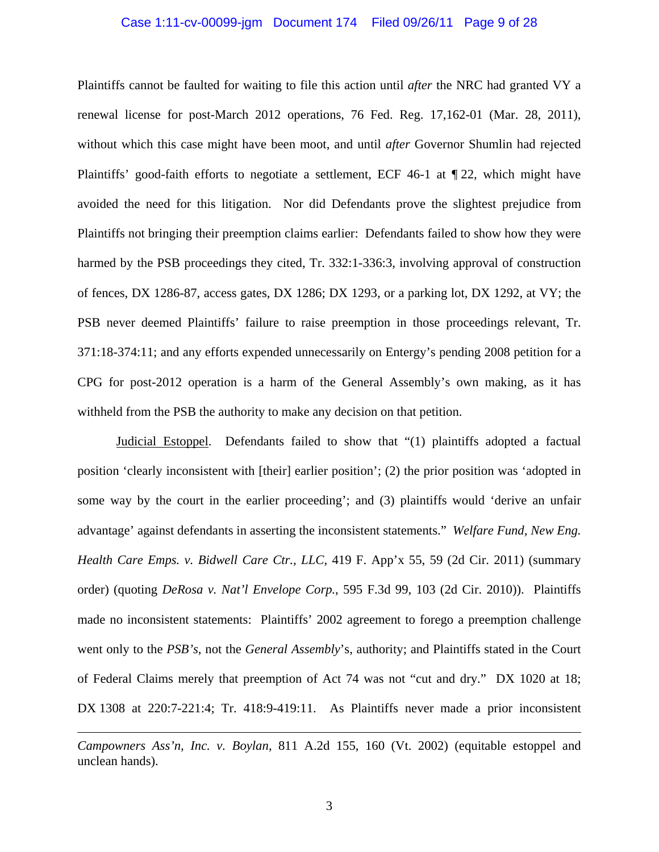#### Case 1:11-cv-00099-jgm Document 174 Filed 09/26/11 Page 9 of 28

Plaintiffs cannot be faulted for waiting to file this action until *after* the NRC had granted VY a renewal license for post-March 2012 operations, 76 Fed. Reg. 17,162-01 (Mar. 28, 2011), without which this case might have been moot, and until *after* Governor Shumlin had rejected Plaintiffs' good-faith efforts to negotiate a settlement, ECF 46-1 at ¶ 22, which might have avoided the need for this litigation. Nor did Defendants prove the slightest prejudice from Plaintiffs not bringing their preemption claims earlier: Defendants failed to show how they were harmed by the PSB proceedings they cited, Tr. 332:1-336:3, involving approval of construction of fences, DX 1286-87, access gates, DX 1286; DX 1293, or a parking lot, DX 1292, at VY; the PSB never deemed Plaintiffs' failure to raise preemption in those proceedings relevant, Tr. 371:18-374:11; and any efforts expended unnecessarily on Entergy's pending 2008 petition for a CPG for post-2012 operation is a harm of the General Assembly's own making, as it has withheld from the PSB the authority to make any decision on that petition.

Judicial Estoppel. Defendants failed to show that "(1) plaintiffs adopted a factual position 'clearly inconsistent with [their] earlier position'; (2) the prior position was 'adopted in some way by the court in the earlier proceeding'; and (3) plaintiffs would 'derive an unfair advantage' against defendants in asserting the inconsistent statements." *Welfare Fund, New Eng. Health Care Emps. v. Bidwell Care Ctr., LLC*, 419 F. App'x 55, 59 (2d Cir. 2011) (summary order) (quoting *DeRosa v. Nat'l Envelope Corp.*, 595 F.3d 99, 103 (2d Cir. 2010)). Plaintiffs made no inconsistent statements: Plaintiffs' 2002 agreement to forego a preemption challenge went only to the *PSB's*, not the *General Assembly*'s, authority; and Plaintiffs stated in the Court of Federal Claims merely that preemption of Act 74 was not "cut and dry." DX 1020 at 18; DX 1308 at 220:7-221:4; Tr. 418:9-419:11. As Plaintiffs never made a prior inconsistent

*Campowners Ass'n, Inc. v. Boylan*, 811 A.2d 155, 160 (Vt. 2002) (equitable estoppel and unclean hands).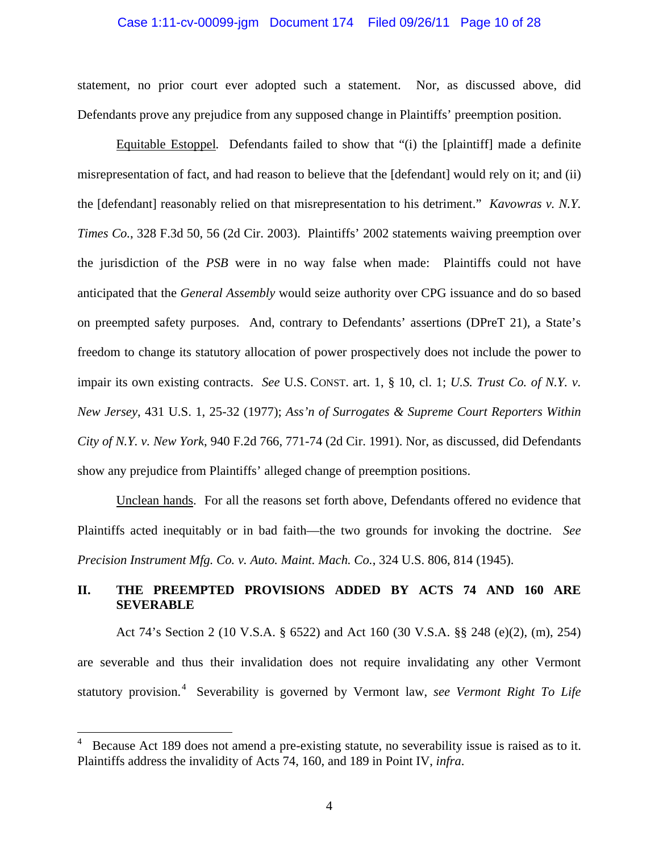### Case 1:11-cv-00099-jgm Document 174 Filed 09/26/11 Page 10 of 28

statement, no prior court ever adopted such a statement. Nor, as discussed above, did Defendants prove any prejudice from any supposed change in Plaintiffs' preemption position.

Equitable Estoppel*.* Defendants failed to show that "(i) the [plaintiff] made a definite misrepresentation of fact, and had reason to believe that the [defendant] would rely on it; and (ii) the [defendant] reasonably relied on that misrepresentation to his detriment." *Kavowras v. N.Y. Times Co.*, 328 F.3d 50, 56 (2d Cir. 2003). Plaintiffs' 2002 statements waiving preemption over the jurisdiction of the *PSB* were in no way false when made: Plaintiffs could not have anticipated that the *General Assembly* would seize authority over CPG issuance and do so based on preempted safety purposes. And, contrary to Defendants' assertions (DPreT 21), a State's freedom to change its statutory allocation of power prospectively does not include the power to impair its own existing contracts. *See* U.S. CONST. art. 1, § 10, cl. 1; *U.S. Trust Co. of N.Y. v. New Jersey*, 431 U.S. 1, 25-32 (1977); *Ass'n of Surrogates & Supreme Court Reporters Within City of N.Y. v. New York*, 940 F.2d 766, 771-74 (2d Cir. 1991). Nor, as discussed, did Defendants show any prejudice from Plaintiffs' alleged change of preemption positions.

Unclean hands. For all the reasons set forth above, Defendants offered no evidence that Plaintiffs acted inequitably or in bad faith—the two grounds for invoking the doctrine. *See Precision Instrument Mfg. Co. v. Auto. Maint. Mach. Co.*, 324 U.S. 806, 814 (1945).

## **II. THE PREEMPTED PROVISIONS ADDED BY ACTS 74 AND 160 ARE SEVERABLE**

 Act 74's Section 2 (10 V.S.A. § 6522) and Act 160 (30 V.S.A. §§ 248 (e)(2), (m), 254) are severable and thus their invalidation does not require invalidating any other Vermont statutory provision.<sup>4</sup> Severability is governed by Vermont law, *see Vermont Right To Life* 

<sup>4</sup> Because Act 189 does not amend a pre-existing statute, no severability issue is raised as to it. Plaintiffs address the invalidity of Acts 74, 160, and 189 in Point IV, *infra*.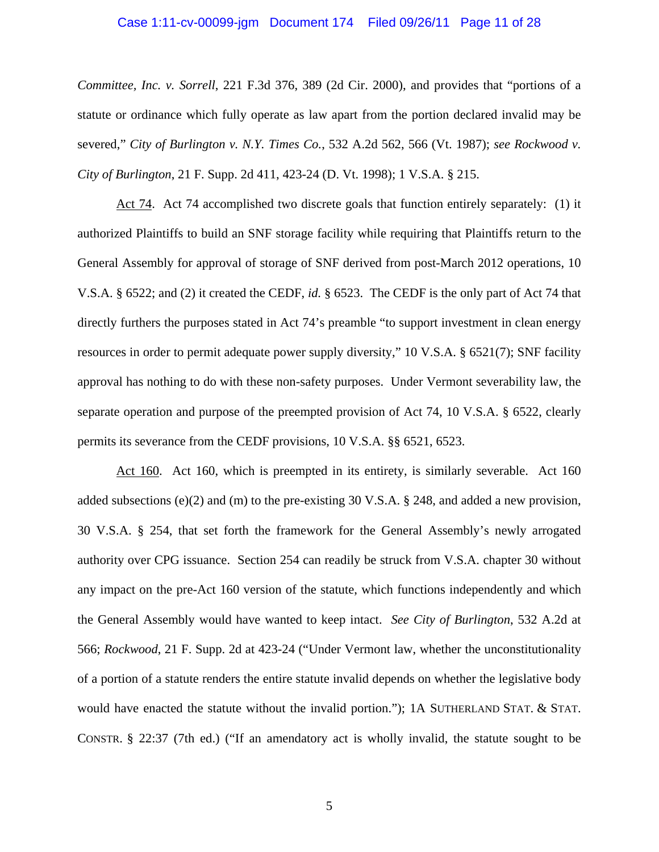#### Case 1:11-cv-00099-jgm Document 174 Filed 09/26/11 Page 11 of 28

*Committee, Inc. v. Sorrell*, 221 F.3d 376, 389 (2d Cir. 2000), and provides that "portions of a statute or ordinance which fully operate as law apart from the portion declared invalid may be severed," *City of Burlington v. N.Y. Times Co.*, 532 A.2d 562, 566 (Vt. 1987); *see Rockwood v. City of Burlington*, 21 F. Supp. 2d 411, 423-24 (D. Vt. 1998); 1 V.S.A. § 215.

 Act 74. Act 74 accomplished two discrete goals that function entirely separately: (1) it authorized Plaintiffs to build an SNF storage facility while requiring that Plaintiffs return to the General Assembly for approval of storage of SNF derived from post-March 2012 operations, 10 V.S.A. § 6522; and (2) it created the CEDF, *id.* § 6523. The CEDF is the only part of Act 74 that directly furthers the purposes stated in Act 74's preamble "to support investment in clean energy resources in order to permit adequate power supply diversity," 10 V.S.A. § 6521(7); SNF facility approval has nothing to do with these non-safety purposes. Under Vermont severability law, the separate operation and purpose of the preempted provision of Act 74, 10 V.S.A. § 6522, clearly permits its severance from the CEDF provisions, 10 V.S.A. §§ 6521, 6523.

 Act 160. Act 160, which is preempted in its entirety, is similarly severable. Act 160 added subsections (e)(2) and (m) to the pre-existing 30 V.S.A. § 248, and added a new provision, 30 V.S.A. § 254, that set forth the framework for the General Assembly's newly arrogated authority over CPG issuance. Section 254 can readily be struck from V.S.A. chapter 30 without any impact on the pre-Act 160 version of the statute, which functions independently and which the General Assembly would have wanted to keep intact. *See City of Burlington*, 532 A.2d at 566; *Rockwood*, 21 F. Supp. 2d at 423-24 ("Under Vermont law, whether the unconstitutionality of a portion of a statute renders the entire statute invalid depends on whether the legislative body would have enacted the statute without the invalid portion."); 1A SUTHERLAND STAT. & STAT. CONSTR. § 22:37 (7th ed.) ("If an amendatory act is wholly invalid, the statute sought to be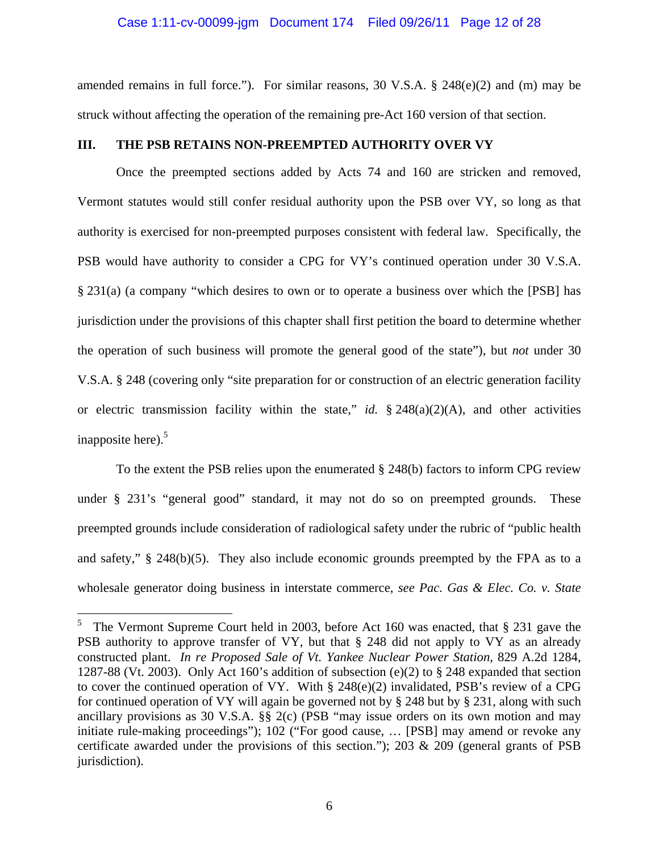#### Case 1:11-cv-00099-jgm Document 174 Filed 09/26/11 Page 12 of 28

amended remains in full force."). For similar reasons, 30 V.S.A. § 248(e)(2) and (m) may be struck without affecting the operation of the remaining pre-Act 160 version of that section.

## **III. THE PSB RETAINS NON-PREEMPTED AUTHORITY OVER VY**

 Once the preempted sections added by Acts 74 and 160 are stricken and removed, Vermont statutes would still confer residual authority upon the PSB over VY, so long as that authority is exercised for non-preempted purposes consistent with federal law. Specifically, the PSB would have authority to consider a CPG for VY's continued operation under 30 V.S.A. § 231(a) (a company "which desires to own or to operate a business over which the [PSB] has jurisdiction under the provisions of this chapter shall first petition the board to determine whether the operation of such business will promote the general good of the state"), but *not* under 30 V.S.A. § 248 (covering only "site preparation for or construction of an electric generation facility or electric transmission facility within the state," *id.* § 248(a)(2)(A), and other activities inapposite here). $5$ 

To the extent the PSB relies upon the enumerated § 248(b) factors to inform CPG review under § 231's "general good" standard, it may not do so on preempted grounds. These preempted grounds include consideration of radiological safety under the rubric of "public health and safety," § 248(b)(5). They also include economic grounds preempted by the FPA as to a wholesale generator doing business in interstate commerce, *see Pac. Gas & Elec. Co. v. State* 

<sup>5</sup> The Vermont Supreme Court held in 2003, before Act 160 was enacted, that § 231 gave the PSB authority to approve transfer of VY, but that § 248 did not apply to VY as an already constructed plant. *In re Proposed Sale of Vt. Yankee Nuclear Power Station*, 829 A.2d 1284, 1287-88 (Vt. 2003). Only Act 160's addition of subsection (e)(2) to  $\S$  248 expanded that section to cover the continued operation of VY. With § 248(e)(2) invalidated, PSB's review of a CPG for continued operation of VY will again be governed not by § 248 but by § 231, along with such ancillary provisions as 30 V.S.A. §§ 2(c) (PSB "may issue orders on its own motion and may initiate rule-making proceedings"); 102 ("For good cause, … [PSB] may amend or revoke any certificate awarded under the provisions of this section."); 203 & 209 (general grants of PSB jurisdiction).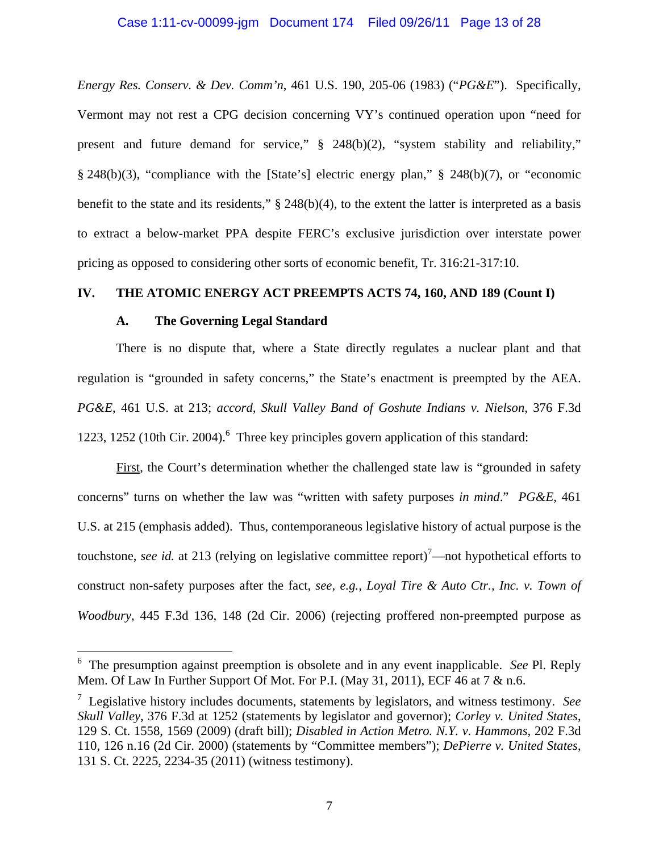### Case 1:11-cv-00099-jgm Document 174 Filed 09/26/11 Page 13 of 28

*Energy Res. Conserv. & Dev. Comm'n*, 461 U.S. 190, 205-06 (1983) ("*PG&E*"). Specifically, Vermont may not rest a CPG decision concerning VY's continued operation upon "need for present and future demand for service," § 248(b)(2), "system stability and reliability," § 248(b)(3), "compliance with the [State's] electric energy plan," § 248(b)(7), or "economic benefit to the state and its residents," § 248(b)(4), to the extent the latter is interpreted as a basis to extract a below-market PPA despite FERC's exclusive jurisdiction over interstate power pricing as opposed to considering other sorts of economic benefit, Tr. 316:21-317:10.

## **IV. THE ATOMIC ENERGY ACT PREEMPTS ACTS 74, 160, AND 189 (Count I)**

### **A. The Governing Legal Standard**

 There is no dispute that, where a State directly regulates a nuclear plant and that regulation is "grounded in safety concerns," the State's enactment is preempted by the AEA. *PG&E*, 461 U.S. at 213; *accord, Skull Valley Band of Goshute Indians v. Nielson*, 376 F.3d 1223, 1252 (10th Cir. 2004).<sup>6</sup> Three key principles govern application of this standard:

 First, the Court's determination whether the challenged state law is "grounded in safety concerns" turns on whether the law was "written with safety purposes *in mind*." *PG&E*, 461 U.S. at 215 (emphasis added). Thus, contemporaneous legislative history of actual purpose is the touchstone, *see id.* at 213 (relying on legislative committee report)<sup>7</sup>—not hypothetical efforts to construct non-safety purposes after the fact, *see, e.g., Loyal Tire & Auto Ctr., Inc. v. Town of Woodbury*, 445 F.3d 136, 148 (2d Cir. 2006) (rejecting proffered non-preempted purpose as

 6 The presumption against preemption is obsolete and in any event inapplicable. *See* Pl. Reply Mem. Of Law In Further Support Of Mot. For P.I. (May 31, 2011), ECF 46 at 7 & n.6.

<sup>7</sup> Legislative history includes documents, statements by legislators, and witness testimony. *See Skull Valley*, 376 F.3d at 1252 (statements by legislator and governor); *Corley v. United States*, 129 S. Ct. 1558, 1569 (2009) (draft bill); *Disabled in Action Metro. N.Y. v. Hammons*, 202 F.3d 110, 126 n.16 (2d Cir. 2000) (statements by "Committee members"); *DePierre v. United States*, 131 S. Ct. 2225, 2234-35 (2011) (witness testimony).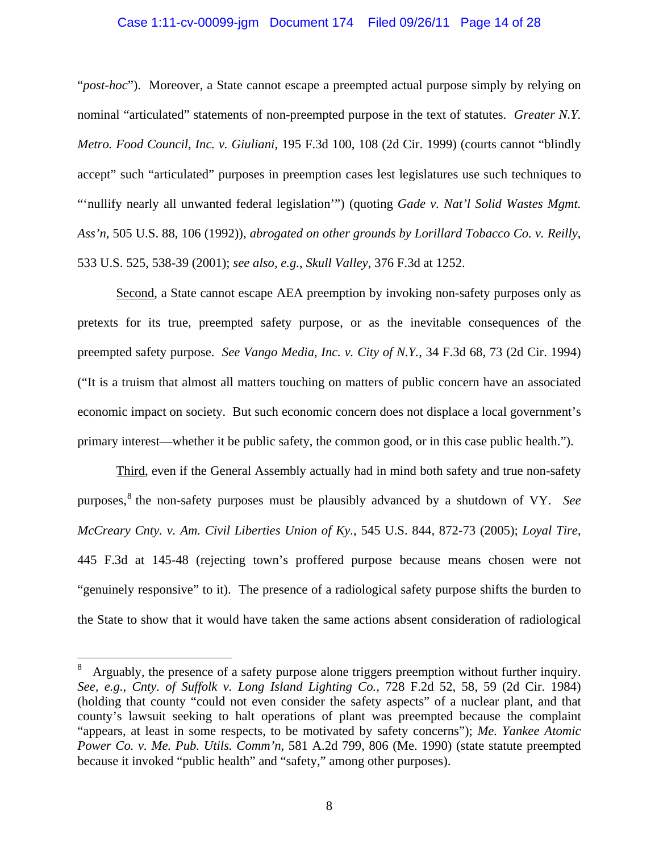### Case 1:11-cv-00099-jgm Document 174 Filed 09/26/11 Page 14 of 28

"*post-hoc*"). Moreover, a State cannot escape a preempted actual purpose simply by relying on nominal "articulated" statements of non-preempted purpose in the text of statutes. *Greater N.Y. Metro. Food Council, Inc. v. Giuliani*, 195 F.3d 100, 108 (2d Cir. 1999) (courts cannot "blindly accept" such "articulated" purposes in preemption cases lest legislatures use such techniques to "'nullify nearly all unwanted federal legislation'") (quoting *Gade v. Nat'l Solid Wastes Mgmt. Ass'n*, 505 U.S. 88, 106 (1992)), *abrogated on other grounds by Lorillard Tobacco Co. v. Reilly*, 533 U.S. 525, 538-39 (2001); *see also, e.g.*, *Skull Valley*, 376 F.3d at 1252.

 Second, a State cannot escape AEA preemption by invoking non-safety purposes only as pretexts for its true, preempted safety purpose, or as the inevitable consequences of the preempted safety purpose. *See Vango Media, Inc. v. City of N.Y.*, 34 F.3d 68, 73 (2d Cir. 1994) ("It is a truism that almost all matters touching on matters of public concern have an associated economic impact on society. But such economic concern does not displace a local government's primary interest—whether it be public safety, the common good, or in this case public health.").

 Third, even if the General Assembly actually had in mind both safety and true non-safety purposes,<sup>8</sup> the non-safety purposes must be plausibly advanced by a shutdown of VY. *See McCreary Cnty. v. Am. Civil Liberties Union of Ky.*, 545 U.S. 844, 872-73 (2005); *Loyal Tire*, 445 F.3d at 145-48 (rejecting town's proffered purpose because means chosen were not "genuinely responsive" to it). The presence of a radiological safety purpose shifts the burden to the State to show that it would have taken the same actions absent consideration of radiological

<sup>8</sup> Arguably, the presence of a safety purpose alone triggers preemption without further inquiry. *See, e.g.*, *Cnty. of Suffolk v. Long Island Lighting Co.*, 728 F.2d 52, 58, 59 (2d Cir. 1984) (holding that county "could not even consider the safety aspects" of a nuclear plant, and that county's lawsuit seeking to halt operations of plant was preempted because the complaint "appears, at least in some respects, to be motivated by safety concerns"); *Me. Yankee Atomic Power Co. v. Me. Pub. Utils. Comm'n*, 581 A.2d 799, 806 (Me. 1990) (state statute preempted because it invoked "public health" and "safety," among other purposes).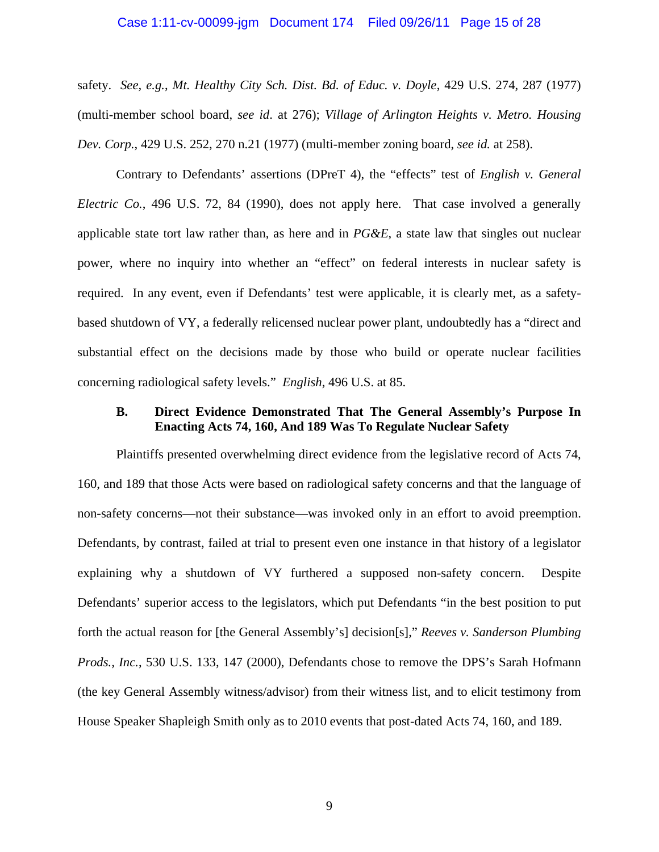### Case 1:11-cv-00099-jgm Document 174 Filed 09/26/11 Page 15 of 28

safety. *See, e.g.*, *Mt. Healthy City Sch. Dist. Bd. of Educ. v. Doyle*, 429 U.S. 274, 287 (1977) (multi-member school board, *see id*. at 276); *Village of Arlington Heights v. Metro. Housing Dev. Corp.*, 429 U.S. 252, 270 n.21 (1977) (multi-member zoning board, *see id.* at 258).

 Contrary to Defendants' assertions (DPreT 4), the "effects" test of *English v. General Electric Co.*, 496 U.S. 72, 84 (1990), does not apply here. That case involved a generally applicable state tort law rather than, as here and in *PG&E*, a state law that singles out nuclear power, where no inquiry into whether an "effect" on federal interests in nuclear safety is required. In any event, even if Defendants' test were applicable, it is clearly met, as a safetybased shutdown of VY, a federally relicensed nuclear power plant, undoubtedly has a "direct and substantial effect on the decisions made by those who build or operate nuclear facilities concerning radiological safety levels." *English*, 496 U.S. at 85.

## **B. Direct Evidence Demonstrated That The General Assembly's Purpose In Enacting Acts 74, 160, And 189 Was To Regulate Nuclear Safety**

 Plaintiffs presented overwhelming direct evidence from the legislative record of Acts 74, 160, and 189 that those Acts were based on radiological safety concerns and that the language of non-safety concerns—not their substance—was invoked only in an effort to avoid preemption. Defendants, by contrast, failed at trial to present even one instance in that history of a legislator explaining why a shutdown of VY furthered a supposed non-safety concern. Despite Defendants' superior access to the legislators, which put Defendants "in the best position to put forth the actual reason for [the General Assembly's] decision[s]," *Reeves v. Sanderson Plumbing Prods., Inc.*, 530 U.S. 133, 147 (2000), Defendants chose to remove the DPS's Sarah Hofmann (the key General Assembly witness/advisor) from their witness list, and to elicit testimony from House Speaker Shapleigh Smith only as to 2010 events that post-dated Acts 74, 160, and 189.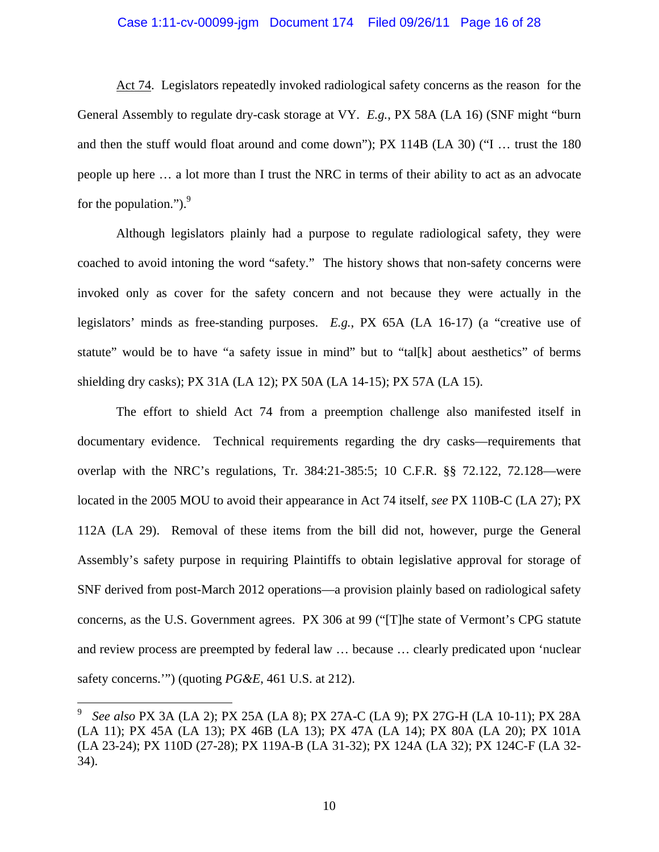#### Case 1:11-cv-00099-jgm Document 174 Filed 09/26/11 Page 16 of 28

 Act 74. Legislators repeatedly invoked radiological safety concerns as the reason for the General Assembly to regulate dry-cask storage at VY. *E.g.*, PX 58A (LA 16) (SNF might "burn and then the stuff would float around and come down"); PX 114B (LA 30) ("I … trust the 180 people up here … a lot more than I trust the NRC in terms of their ability to act as an advocate for the population." $)^{9}$ .

 Although legislators plainly had a purpose to regulate radiological safety, they were coached to avoid intoning the word "safety." The history shows that non-safety concerns were invoked only as cover for the safety concern and not because they were actually in the legislators' minds as free-standing purposes. *E.g.*, PX 65A (LA 16-17) (a "creative use of statute" would be to have "a safety issue in mind" but to "tal[k] about aesthetics" of berms shielding dry casks); PX 31A (LA 12); PX 50A (LA 14-15); PX 57A (LA 15).

 The effort to shield Act 74 from a preemption challenge also manifested itself in documentary evidence. Technical requirements regarding the dry casks—requirements that overlap with the NRC's regulations, Tr. 384:21-385:5; 10 C.F.R. §§ 72.122, 72.128—were located in the 2005 MOU to avoid their appearance in Act 74 itself, *see* PX 110B-C (LA 27); PX 112A (LA 29). Removal of these items from the bill did not, however, purge the General Assembly's safety purpose in requiring Plaintiffs to obtain legislative approval for storage of SNF derived from post-March 2012 operations—a provision plainly based on radiological safety concerns, as the U.S. Government agrees. PX 306 at 99 ("[T]he state of Vermont's CPG statute and review process are preempted by federal law … because … clearly predicated upon 'nuclear safety concerns.'") (quoting *PG&E*, 461 U.S. at 212).

1

<sup>9</sup> *See also* PX 3A (LA 2); PX 25A (LA 8); PX 27A-C (LA 9); PX 27G-H (LA 10-11); PX 28A (LA 11); PX 45A (LA 13); PX 46B (LA 13); PX 47A (LA 14); PX 80A (LA 20); PX 101A (LA 23-24); PX 110D (27-28); PX 119A-B (LA 31-32); PX 124A (LA 32); PX 124C-F (LA 32- 34).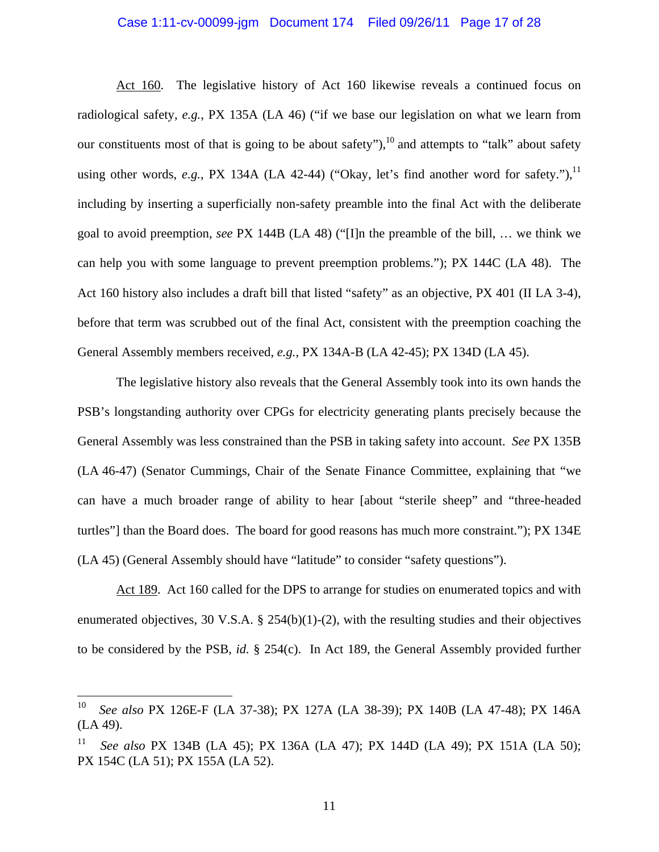#### Case 1:11-cv-00099-jgm Document 174 Filed 09/26/11 Page 17 of 28

 Act 160. The legislative history of Act 160 likewise reveals a continued focus on radiological safety, *e.g.*, PX 135A (LA 46) ("if we base our legislation on what we learn from our constituents most of that is going to be about safety"),  $10^{\circ}$  and attempts to "talk" about safety using other words,  $e.g.,$  PX 134A (LA 42-44) ("Okay, let's find another word for safety."), $^{11}$ including by inserting a superficially non-safety preamble into the final Act with the deliberate goal to avoid preemption, *see* PX 144B (LA 48) ("[I]n the preamble of the bill, … we think we can help you with some language to prevent preemption problems."); PX 144C (LA 48). The Act 160 history also includes a draft bill that listed "safety" as an objective, PX 401 (II LA 3-4), before that term was scrubbed out of the final Act, consistent with the preemption coaching the General Assembly members received, *e.g.*, PX 134A-B (LA 42-45); PX 134D (LA 45).

 The legislative history also reveals that the General Assembly took into its own hands the PSB's longstanding authority over CPGs for electricity generating plants precisely because the General Assembly was less constrained than the PSB in taking safety into account. *See* PX 135B (LA 46-47) (Senator Cummings, Chair of the Senate Finance Committee, explaining that "we can have a much broader range of ability to hear [about "sterile sheep" and "three-headed turtles"] than the Board does. The board for good reasons has much more constraint."); PX 134E (LA 45) (General Assembly should have "latitude" to consider "safety questions").

 Act 189. Act 160 called for the DPS to arrange for studies on enumerated topics and with enumerated objectives, 30 V.S.A. § 254(b)(1)-(2), with the resulting studies and their objectives to be considered by the PSB, *id.* § 254(c). In Act 189, the General Assembly provided further

1

11

<sup>10</sup> *See also* PX 126E-F (LA 37-38); PX 127A (LA 38-39); PX 140B (LA 47-48); PX 146A (LA 49).

<sup>11</sup> *See also* PX 134B (LA 45); PX 136A (LA 47); PX 144D (LA 49); PX 151A (LA 50); PX 154C (LA 51); PX 155A (LA 52).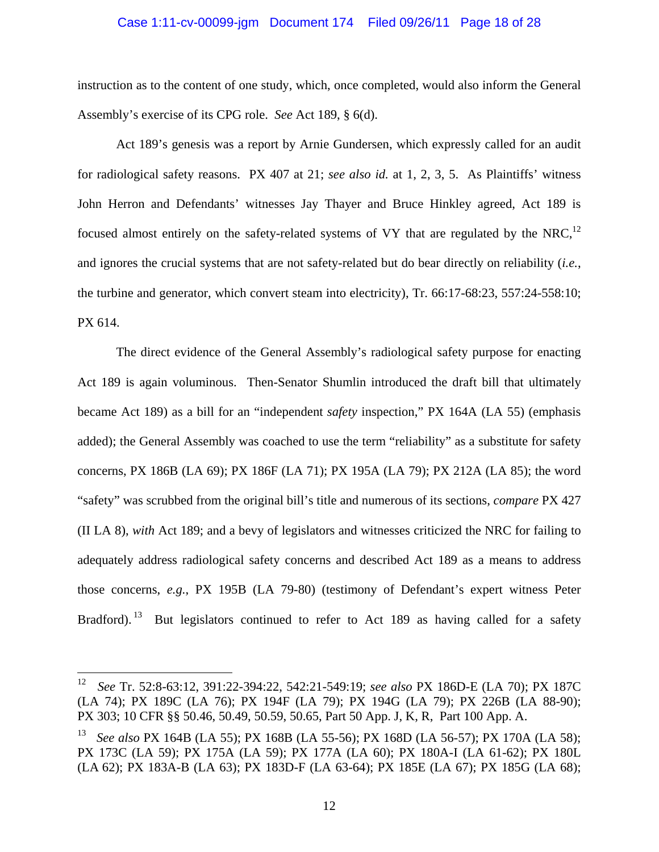#### Case 1:11-cv-00099-jgm Document 174 Filed 09/26/11 Page 18 of 28

instruction as to the content of one study, which, once completed, would also inform the General Assembly's exercise of its CPG role. *See* Act 189, § 6(d).

 Act 189's genesis was a report by Arnie Gundersen, which expressly called for an audit for radiological safety reasons. PX 407 at 21; *see also id.* at 1, 2, 3, 5. As Plaintiffs' witness John Herron and Defendants' witnesses Jay Thayer and Bruce Hinkley agreed, Act 189 is focused almost entirely on the safety-related systems of VY that are regulated by the NRC,<sup>12</sup> and ignores the crucial systems that are not safety-related but do bear directly on reliability (*i.e.*, the turbine and generator, which convert steam into electricity), Tr. 66:17-68:23, 557:24-558:10; PX 614.

 The direct evidence of the General Assembly's radiological safety purpose for enacting Act 189 is again voluminous. Then-Senator Shumlin introduced the draft bill that ultimately became Act 189) as a bill for an "independent *safety* inspection," PX 164A (LA 55) (emphasis added); the General Assembly was coached to use the term "reliability" as a substitute for safety concerns, PX 186B (LA 69); PX 186F (LA 71); PX 195A (LA 79); PX 212A (LA 85); the word "safety" was scrubbed from the original bill's title and numerous of its sections, *compare* PX 427 (II LA 8), *with* Act 189; and a bevy of legislators and witnesses criticized the NRC for failing to adequately address radiological safety concerns and described Act 189 as a means to address those concerns, *e.g.*, PX 195B (LA 79-80) (testimony of Defendant's expert witness Peter Bradford). <sup>13</sup> But legislators continued to refer to Act 189 as having called for a safety

<u>.</u>

<sup>12</sup> *See* Tr. 52:8-63:12, 391:22-394:22, 542:21-549:19; *see also* PX 186D-E (LA 70); PX 187C (LA 74); PX 189C (LA 76); PX 194F (LA 79); PX 194G (LA 79); PX 226B (LA 88-90); PX 303; 10 CFR §§ 50.46, 50.49, 50.59, 50.65, Part 50 App. J, K, R, Part 100 App. A.

<sup>13</sup> *See also* PX 164B (LA 55); PX 168B (LA 55-56); PX 168D (LA 56-57); PX 170A (LA 58); PX 173C (LA 59); PX 175A (LA 59); PX 177A (LA 60); PX 180A-I (LA 61-62); PX 180L (LA 62); PX 183A-B (LA 63); PX 183D-F (LA 63-64); PX 185E (LA 67); PX 185G (LA 68);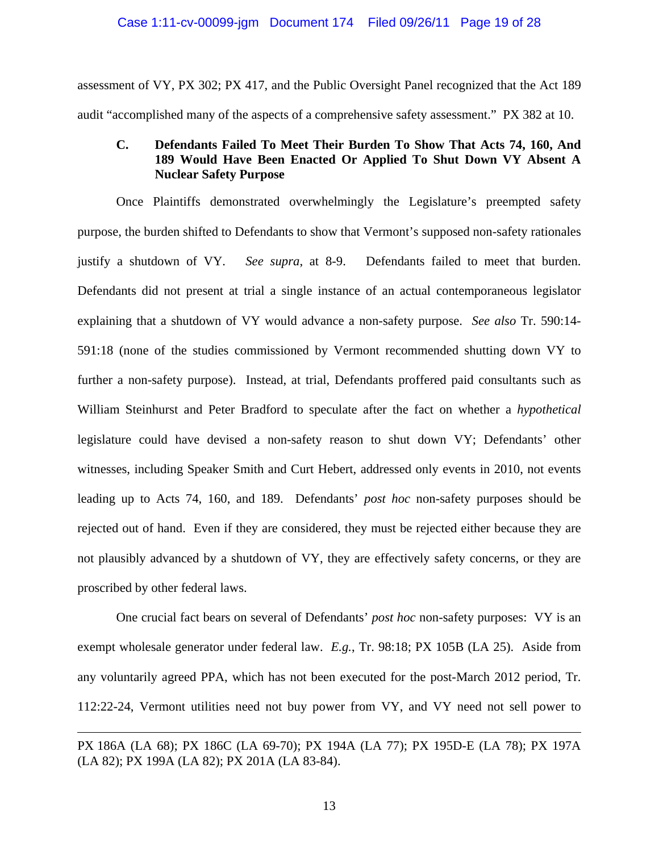## Case 1:11-cv-00099-jgm Document 174 Filed 09/26/11 Page 19 of 28

assessment of VY, PX 302; PX 417, and the Public Oversight Panel recognized that the Act 189 audit "accomplished many of the aspects of a comprehensive safety assessment." PX 382 at 10.

## **C. Defendants Failed To Meet Their Burden To Show That Acts 74, 160, And 189 Would Have Been Enacted Or Applied To Shut Down VY Absent A Nuclear Safety Purpose**

 Once Plaintiffs demonstrated overwhelmingly the Legislature's preempted safety purpose, the burden shifted to Defendants to show that Vermont's supposed non-safety rationales justify a shutdown of VY. *See supra*, at 8-9. Defendants failed to meet that burden. Defendants did not present at trial a single instance of an actual contemporaneous legislator explaining that a shutdown of VY would advance a non-safety purpose. *See also* Tr. 590:14- 591:18 (none of the studies commissioned by Vermont recommended shutting down VY to further a non-safety purpose). Instead, at trial, Defendants proffered paid consultants such as William Steinhurst and Peter Bradford to speculate after the fact on whether a *hypothetical* legislature could have devised a non-safety reason to shut down VY; Defendants' other witnesses, including Speaker Smith and Curt Hebert, addressed only events in 2010, not events leading up to Acts 74, 160, and 189. Defendants' *post hoc* non-safety purposes should be rejected out of hand. Even if they are considered, they must be rejected either because they are not plausibly advanced by a shutdown of VY, they are effectively safety concerns, or they are proscribed by other federal laws.

 One crucial fact bears on several of Defendants' *post hoc* non-safety purposes: VY is an exempt wholesale generator under federal law. *E.g.*, Tr. 98:18; PX 105B (LA 25). Aside from any voluntarily agreed PPA, which has not been executed for the post-March 2012 period, Tr. 112:22-24, Vermont utilities need not buy power from VY, and VY need not sell power to

PX 186A (LA 68); PX 186C (LA 69-70); PX 194A (LA 77); PX 195D-E (LA 78); PX 197A (LA 82); PX 199A (LA 82); PX 201A (LA 83-84).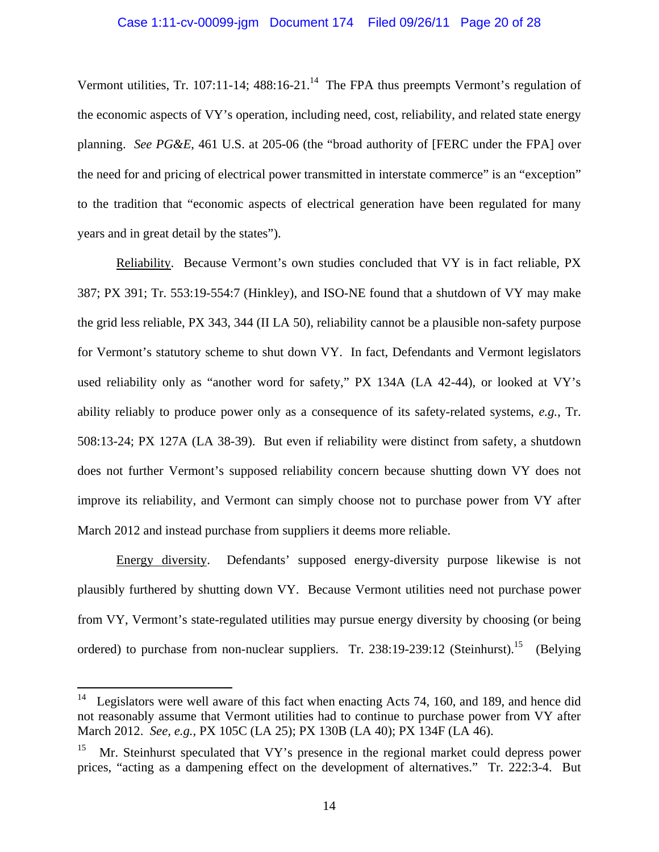Vermont utilities, Tr. 107:11-14;  $488:16-21$ .<sup>14</sup> The FPA thus preempts Vermont's regulation of the economic aspects of VY's operation, including need, cost, reliability, and related state energy planning. *See PG&E*, 461 U.S. at 205-06 (the "broad authority of [FERC under the FPA] over the need for and pricing of electrical power transmitted in interstate commerce" is an "exception" to the tradition that "economic aspects of electrical generation have been regulated for many years and in great detail by the states").

 Reliability. Because Vermont's own studies concluded that VY is in fact reliable, PX 387; PX 391; Tr. 553:19-554:7 (Hinkley), and ISO-NE found that a shutdown of VY may make the grid less reliable, PX 343, 344 (II LA 50), reliability cannot be a plausible non-safety purpose for Vermont's statutory scheme to shut down VY. In fact, Defendants and Vermont legislators used reliability only as "another word for safety," PX 134A (LA 42-44), or looked at VY's ability reliably to produce power only as a consequence of its safety-related systems, *e.g.*, Tr. 508:13-24; PX 127A (LA 38-39). But even if reliability were distinct from safety, a shutdown does not further Vermont's supposed reliability concern because shutting down VY does not improve its reliability, and Vermont can simply choose not to purchase power from VY after March 2012 and instead purchase from suppliers it deems more reliable.

 Energy diversity. Defendants' supposed energy-diversity purpose likewise is not plausibly furthered by shutting down VY. Because Vermont utilities need not purchase power from VY, Vermont's state-regulated utilities may pursue energy diversity by choosing (or being ordered) to purchase from non-nuclear suppliers. Tr. 238:19-239:12 (Steinhurst).<sup>15</sup> (Belying

<sup>14</sup> Legislators were well aware of this fact when enacting Acts 74, 160, and 189, and hence did not reasonably assume that Vermont utilities had to continue to purchase power from VY after March 2012. *See, e.g.*, PX 105C (LA 25); PX 130B (LA 40); PX 134F (LA 46).

Mr. Steinhurst speculated that VY's presence in the regional market could depress power prices, "acting as a dampening effect on the development of alternatives." Tr. 222:3-4. But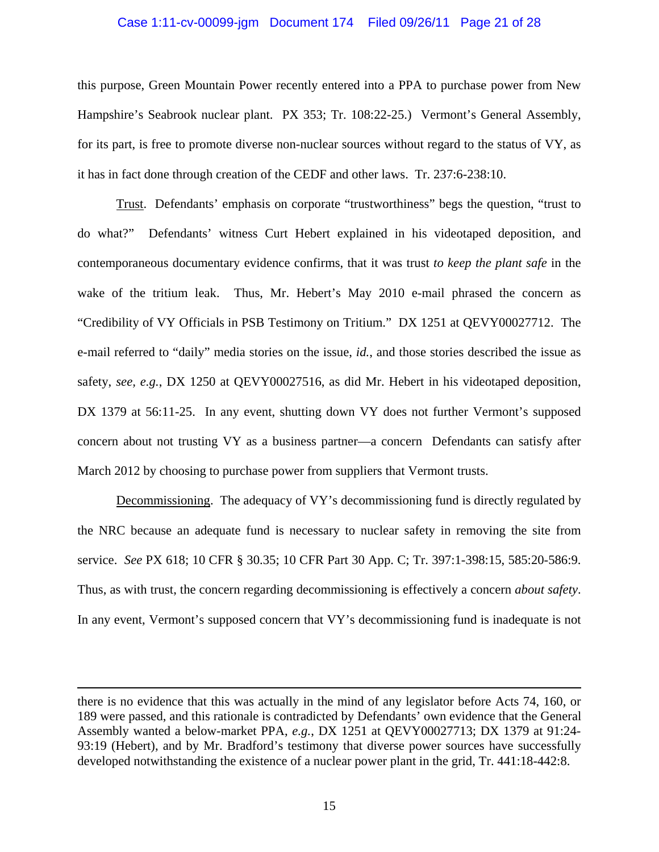### Case 1:11-cv-00099-jgm Document 174 Filed 09/26/11 Page 21 of 28

this purpose, Green Mountain Power recently entered into a PPA to purchase power from New Hampshire's Seabrook nuclear plant. PX 353; Tr. 108:22-25.) Vermont's General Assembly, for its part, is free to promote diverse non-nuclear sources without regard to the status of VY, as it has in fact done through creation of the CEDF and other laws. Tr. 237:6-238:10.

 Trust. Defendants' emphasis on corporate "trustworthiness" begs the question, "trust to do what?" Defendants' witness Curt Hebert explained in his videotaped deposition, and contemporaneous documentary evidence confirms, that it was trust *to keep the plant safe* in the wake of the tritium leak. Thus, Mr. Hebert's May 2010 e-mail phrased the concern as "Credibility of VY Officials in PSB Testimony on Tritium." DX 1251 at QEVY00027712. The e-mail referred to "daily" media stories on the issue, *id.*, and those stories described the issue as safety, *see, e.g.*, DX 1250 at QEVY00027516, as did Mr. Hebert in his videotaped deposition, DX 1379 at 56:11-25. In any event, shutting down VY does not further Vermont's supposed concern about not trusting VY as a business partner—a concern Defendants can satisfy after March 2012 by choosing to purchase power from suppliers that Vermont trusts.

 Decommissioning. The adequacy of VY's decommissioning fund is directly regulated by the NRC because an adequate fund is necessary to nuclear safety in removing the site from service. *See* PX 618; 10 CFR § 30.35; 10 CFR Part 30 App. C; Tr. 397:1-398:15, 585:20-586:9. Thus, as with trust, the concern regarding decommissioning is effectively a concern *about safety*. In any event, Vermont's supposed concern that VY's decommissioning fund is inadequate is not

there is no evidence that this was actually in the mind of any legislator before Acts 74, 160, or 189 were passed, and this rationale is contradicted by Defendants' own evidence that the General Assembly wanted a below-market PPA, *e.g.*, DX 1251 at QEVY00027713; DX 1379 at 91:24- 93:19 (Hebert), and by Mr. Bradford's testimony that diverse power sources have successfully developed notwithstanding the existence of a nuclear power plant in the grid, Tr. 441:18-442:8.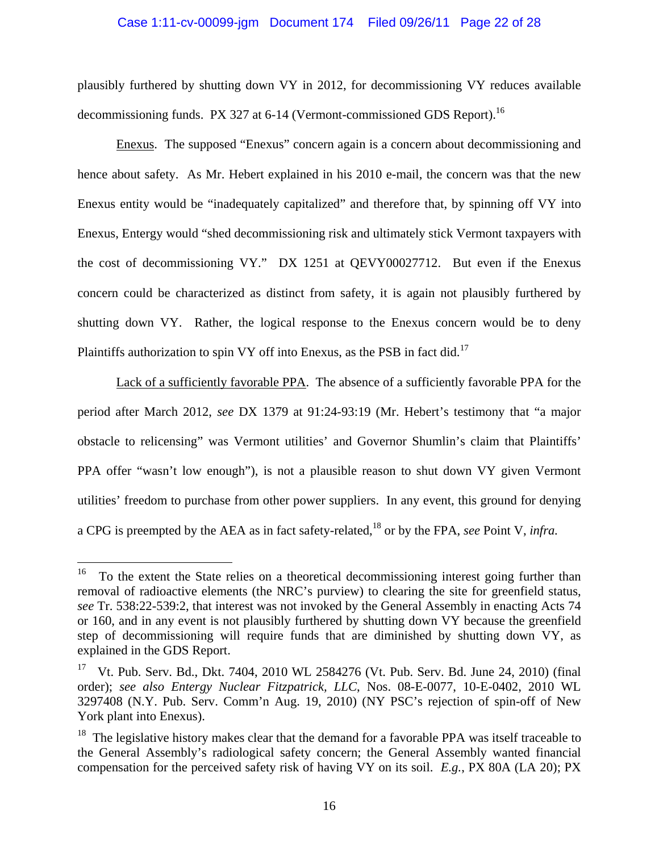### Case 1:11-cv-00099-jgm Document 174 Filed 09/26/11 Page 22 of 28

plausibly furthered by shutting down VY in 2012, for decommissioning VY reduces available decommissioning funds. PX 327 at 6-14 (Vermont-commissioned GDS Report).<sup>16</sup>

 Enexus. The supposed "Enexus" concern again is a concern about decommissioning and hence about safety. As Mr. Hebert explained in his 2010 e-mail, the concern was that the new Enexus entity would be "inadequately capitalized" and therefore that, by spinning off VY into Enexus, Entergy would "shed decommissioning risk and ultimately stick Vermont taxpayers with the cost of decommissioning VY." DX 1251 at QEVY00027712. But even if the Enexus concern could be characterized as distinct from safety, it is again not plausibly furthered by shutting down VY. Rather, the logical response to the Enexus concern would be to deny Plaintiffs authorization to spin VY off into Enexus, as the PSB in fact did.<sup>17</sup>

 Lack of a sufficiently favorable PPA. The absence of a sufficiently favorable PPA for the period after March 2012, *see* DX 1379 at 91:24-93:19 (Mr. Hebert's testimony that "a major obstacle to relicensing" was Vermont utilities' and Governor Shumlin's claim that Plaintiffs' PPA offer "wasn't low enough"), is not a plausible reason to shut down VY given Vermont utilities' freedom to purchase from other power suppliers. In any event, this ground for denying a CPG is preempted by the AEA as in fact safety-related,18 or by the FPA, *see* Point V, *infra.*

<sup>16</sup> 16 To the extent the State relies on a theoretical decommissioning interest going further than removal of radioactive elements (the NRC's purview) to clearing the site for greenfield status, *see* Tr. 538:22-539:2, that interest was not invoked by the General Assembly in enacting Acts 74 or 160, and in any event is not plausibly furthered by shutting down VY because the greenfield step of decommissioning will require funds that are diminished by shutting down VY, as explained in the GDS Report.

<sup>&</sup>lt;sup>17</sup> Vt. Pub. Serv. Bd., Dkt. 7404, 2010 WL 2584276 (Vt. Pub. Serv. Bd. June 24, 2010) (final order); *see also Entergy Nuclear Fitzpatrick, LLC*, Nos. 08-E-0077, 10-E-0402, 2010 WL 3297408 (N.Y. Pub. Serv. Comm'n Aug. 19, 2010) (NY PSC's rejection of spin-off of New York plant into Enexus).

<sup>&</sup>lt;sup>18</sup> The legislative history makes clear that the demand for a favorable PPA was itself traceable to the General Assembly's radiological safety concern; the General Assembly wanted financial compensation for the perceived safety risk of having VY on its soil. *E.g.*, PX 80A (LA 20); PX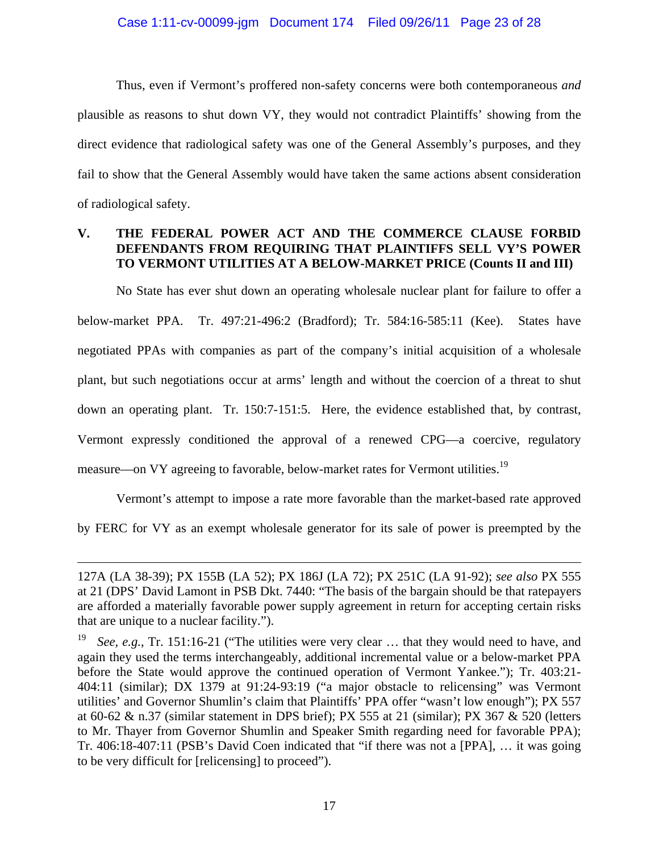Thus, even if Vermont's proffered non-safety concerns were both contemporaneous *and* plausible as reasons to shut down VY, they would not contradict Plaintiffs' showing from the direct evidence that radiological safety was one of the General Assembly's purposes, and they fail to show that the General Assembly would have taken the same actions absent consideration of radiological safety.

## **V. THE FEDERAL POWER ACT AND THE COMMERCE CLAUSE FORBID DEFENDANTS FROM REQUIRING THAT PLAINTIFFS SELL VY'S POWER TO VERMONT UTILITIES AT A BELOW-MARKET PRICE (Counts II and III)**

No State has ever shut down an operating wholesale nuclear plant for failure to offer a below-market PPA. Tr. 497:21-496:2 (Bradford); Tr. 584:16-585:11 (Kee). States have negotiated PPAs with companies as part of the company's initial acquisition of a wholesale plant, but such negotiations occur at arms' length and without the coercion of a threat to shut down an operating plant. Tr. 150:7-151:5. Here, the evidence established that, by contrast, Vermont expressly conditioned the approval of a renewed CPG—a coercive, regulatory measure—on VY agreeing to favorable, below-market rates for Vermont utilities.<sup>19</sup>

Vermont's attempt to impose a rate more favorable than the market-based rate approved by FERC for VY as an exempt wholesale generator for its sale of power is preempted by the

<sup>127</sup>A (LA 38-39); PX 155B (LA 52); PX 186J (LA 72); PX 251C (LA 91-92); *see also* PX 555 at 21 (DPS' David Lamont in PSB Dkt. 7440: "The basis of the bargain should be that ratepayers are afforded a materially favorable power supply agreement in return for accepting certain risks that are unique to a nuclear facility.").

See, e.g., Tr. 151:16-21 ("The utilities were very clear ... that they would need to have, and again they used the terms interchangeably, additional incremental value or a below-market PPA before the State would approve the continued operation of Vermont Yankee."); Tr. 403:21- 404:11 (similar); DX 1379 at 91:24-93:19 ("a major obstacle to relicensing" was Vermont utilities' and Governor Shumlin's claim that Plaintiffs' PPA offer "wasn't low enough"); PX 557 at 60-62 & n.37 (similar statement in DPS brief); PX 555 at 21 (similar); PX 367 & 520 (letters to Mr. Thayer from Governor Shumlin and Speaker Smith regarding need for favorable PPA); Tr. 406:18-407:11 (PSB's David Coen indicated that "if there was not a [PPA], … it was going to be very difficult for [relicensing] to proceed").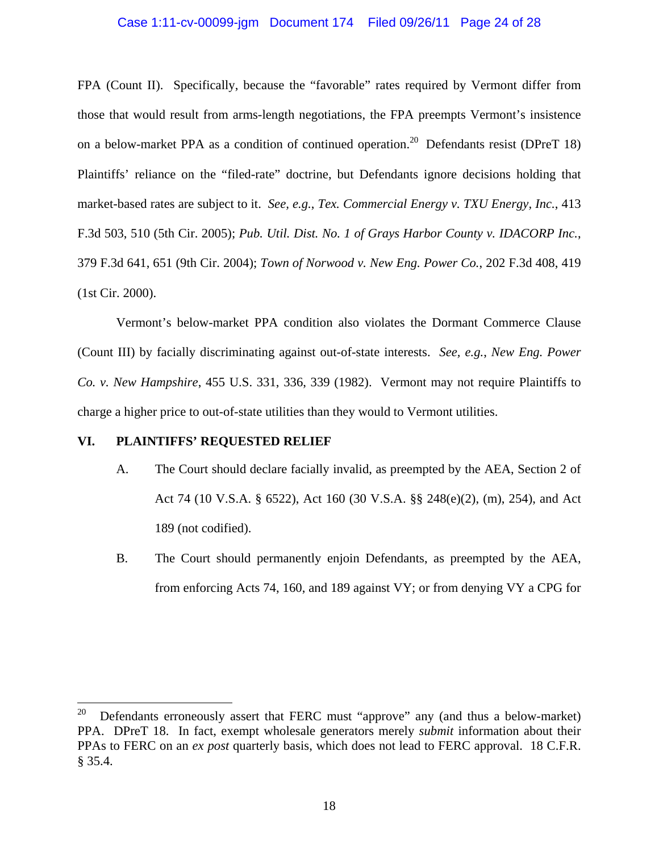### Case 1:11-cv-00099-jgm Document 174 Filed 09/26/11 Page 24 of 28

FPA (Count II). Specifically, because the "favorable" rates required by Vermont differ from those that would result from arms-length negotiations, the FPA preempts Vermont's insistence on a below-market PPA as a condition of continued operation.<sup>20</sup> Defendants resist (DPreT 18) Plaintiffs' reliance on the "filed-rate" doctrine, but Defendants ignore decisions holding that market-based rates are subject to it. *See, e.g.*, *Tex. Commercial Energy v. TXU Energy, Inc.*, 413 F.3d 503, 510 (5th Cir. 2005); *Pub. Util. Dist. No. 1 of Grays Harbor County v. IDACORP Inc.*, 379 F.3d 641, 651 (9th Cir. 2004); *Town of Norwood v. New Eng. Power Co.*, 202 F.3d 408, 419 (1st Cir. 2000).

Vermont's below-market PPA condition also violates the Dormant Commerce Clause (Count III) by facially discriminating against out-of-state interests. *See, e.g.*, *New Eng. Power Co. v. New Hampshire*, 455 U.S. 331, 336, 339 (1982). Vermont may not require Plaintiffs to charge a higher price to out-of-state utilities than they would to Vermont utilities.

## **VI. PLAINTIFFS' REQUESTED RELIEF**

1

- A. The Court should declare facially invalid, as preempted by the AEA, Section 2 of Act 74 (10 V.S.A. § 6522), Act 160 (30 V.S.A. §§ 248(e)(2), (m), 254), and Act 189 (not codified).
- B. The Court should permanently enjoin Defendants, as preempted by the AEA, from enforcing Acts 74, 160, and 189 against VY; or from denying VY a CPG for

<sup>&</sup>lt;sup>20</sup> Defendants erroneously assert that FERC must "approve" any (and thus a below-market) PPA. DPreT 18. In fact, exempt wholesale generators merely *submit* information about their PPAs to FERC on an *ex post* quarterly basis, which does not lead to FERC approval. 18 C.F.R. § 35.4.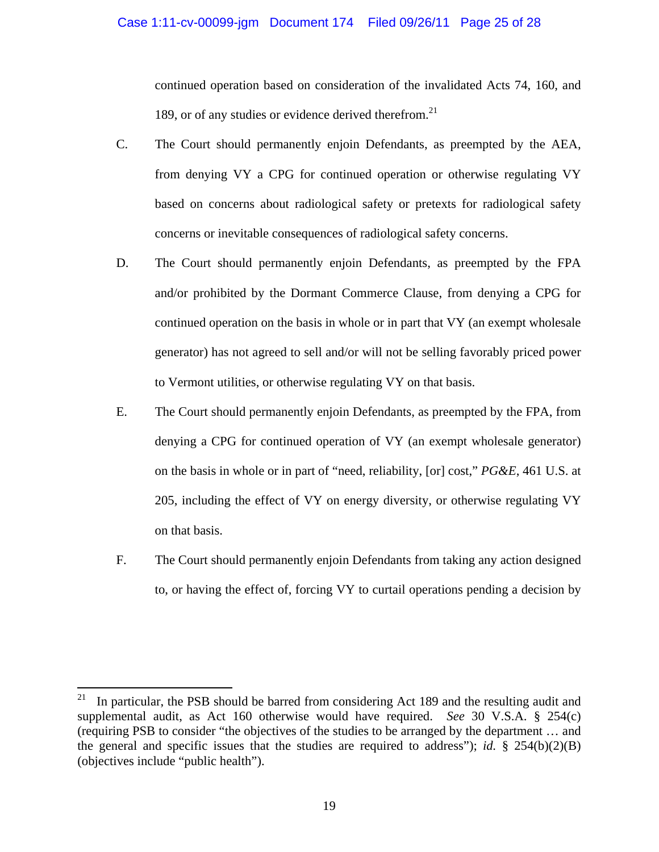continued operation based on consideration of the invalidated Acts 74, 160, and 189, or of any studies or evidence derived therefrom. $21$ 

- C. The Court should permanently enjoin Defendants, as preempted by the AEA, from denying VY a CPG for continued operation or otherwise regulating VY based on concerns about radiological safety or pretexts for radiological safety concerns or inevitable consequences of radiological safety concerns.
- D. The Court should permanently enjoin Defendants, as preempted by the FPA and/or prohibited by the Dormant Commerce Clause, from denying a CPG for continued operation on the basis in whole or in part that VY (an exempt wholesale generator) has not agreed to sell and/or will not be selling favorably priced power to Vermont utilities, or otherwise regulating VY on that basis.
- E. The Court should permanently enjoin Defendants, as preempted by the FPA, from denying a CPG for continued operation of VY (an exempt wholesale generator) on the basis in whole or in part of "need, reliability, [or] cost," *PG&E*, 461 U.S. at 205, including the effect of VY on energy diversity, or otherwise regulating VY on that basis.
- F. The Court should permanently enjoin Defendants from taking any action designed to, or having the effect of, forcing VY to curtail operations pending a decision by

 $21\,$ 21 In particular, the PSB should be barred from considering Act 189 and the resulting audit and supplemental audit, as Act 160 otherwise would have required. *See* 30 V.S.A. § 254(c) (requiring PSB to consider "the objectives of the studies to be arranged by the department … and the general and specific issues that the studies are required to address"); *id.* § 254(b)(2)(B) (objectives include "public health").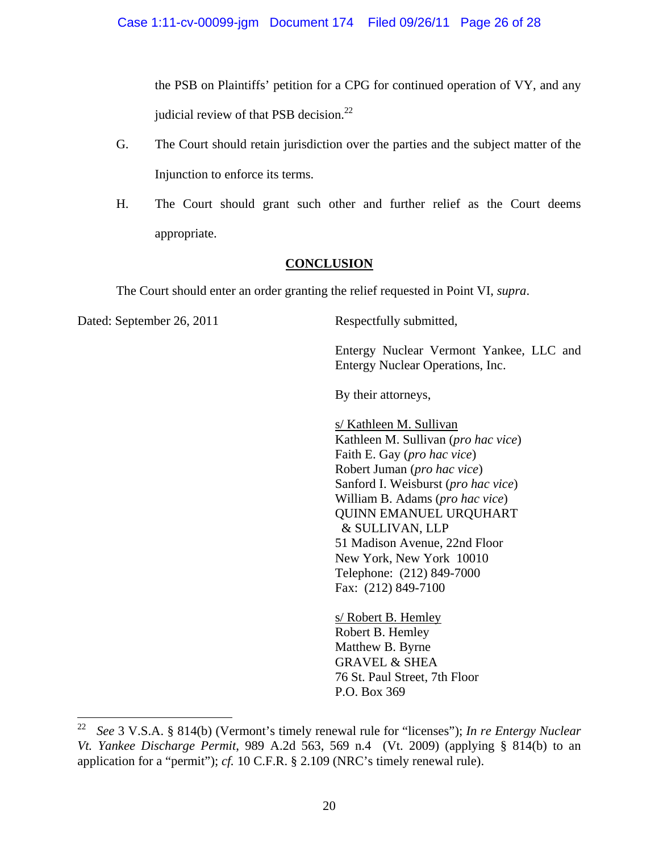the PSB on Plaintiffs' petition for a CPG for continued operation of VY, and any judicial review of that PSB decision.<sup>22</sup>

- G. The Court should retain jurisdiction over the parties and the subject matter of the Injunction to enforce its terms.
- H. The Court should grant such other and further relief as the Court deems appropriate.

## **CONCLUSION**

The Court should enter an order granting the relief requested in Point VI, *supra*.

Dated: September 26, 2011 Respectfully submitted,

Entergy Nuclear Vermont Yankee, LLC and Entergy Nuclear Operations, Inc.

By their attorneys,

s/ Kathleen M. Sullivan Kathleen M. Sullivan (*pro hac vice*) Faith E. Gay (*pro hac vice*) Robert Juman (*pro hac vice*) Sanford I. Weisburst (*pro hac vice*) William B. Adams (*pro hac vice*) QUINN EMANUEL URQUHART & SULLIVAN, LLP 51 Madison Avenue, 22nd Floor New York, New York 10010 Telephone: (212) 849-7000 Fax: (212) 849-7100

s/ Robert B. Hemley Robert B. Hemley Matthew B. Byrne GRAVEL & SHEA 76 St. Paul Street, 7th Floor P.O. Box 369

 $22\,$ 22 *See* 3 V.S.A. § 814(b) (Vermont's timely renewal rule for "licenses"); *In re Entergy Nuclear Vt. Yankee Discharge Permit*, 989 A.2d 563, 569 n.4 (Vt. 2009) (applying § 814(b) to an application for a "permit"); *cf.* 10 C.F.R. § 2.109 (NRC's timely renewal rule).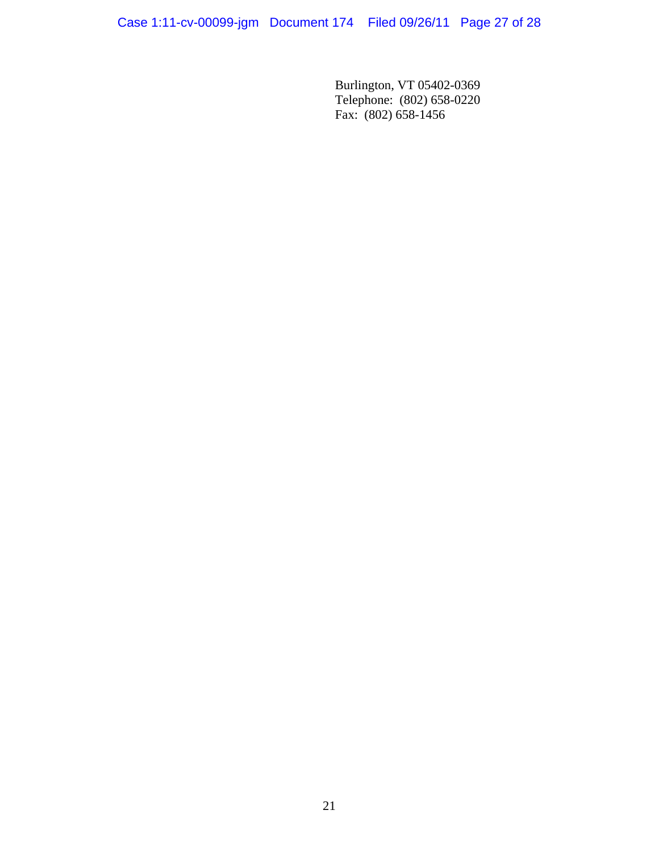Burlington, VT 05402-0369 Telephone: (802) 658-0220 Fax: (802) 658-1456